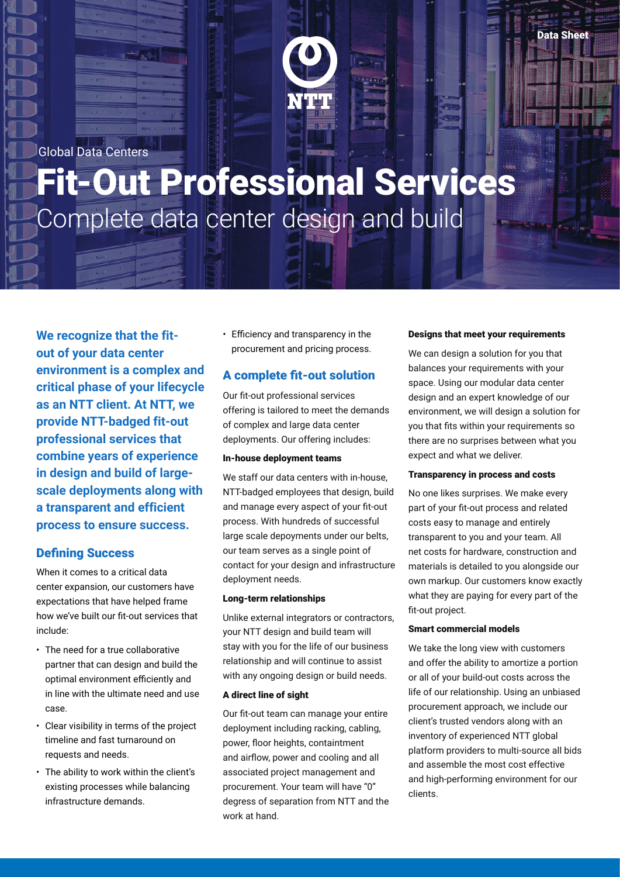Global Data Centers

# Fit-Out Professional Services Complete data center design and build

**We recognize that the fitout of your data center environment is a complex and critical phase of your lifecycle as an NTT client. At NTT, we provide NTT-badged fit-out professional services that combine years of experience in design and build of largescale deployments along with a transparent and efficient process to ensure success.**

### Defining Success

When it comes to a critical data center expansion, our customers have expectations that have helped frame how we've built our fit-out services that include:

- The need for a true collaborative partner that can design and build the optimal environment efficiently and in line with the ultimate need and use case.
- Clear visibility in terms of the project timeline and fast turnaround on requests and needs.
- The ability to work within the client's existing processes while balancing infrastructure demands.

• Efficiency and transparency in the procurement and pricing process.

# A complete fit-out solution

Our fit-out professional services offering is tailored to meet the demands of complex and large data center deployments. Our offering includes:

#### In-house deployment teams

We staff our data centers with in-house, NTT-badged employees that design, build and manage every aspect of your fit-out process. With hundreds of successful large scale depoyments under our belts, our team serves as a single point of contact for your design and infrastructure deployment needs.

#### Long-term relationships

Unlike external integrators or contractors, your NTT design and build team will stay with you for the life of our business relationship and will continue to assist with any ongoing design or build needs.

#### A direct line of sight

Our fit-out team can manage your entire deployment including racking, cabling, power, floor heights, containtment and airflow, power and cooling and all associated project management and procurement. Your team will have "0" degress of separation from NTT and the work at hand.

#### Designs that meet your requirements

We can design a solution for you that balances your requirements with your space. Using our modular data center design and an expert knowledge of our environment, we will design a solution for you that fits within your requirements so there are no surprises between what you expect and what we deliver.

#### Transparency in process and costs

No one likes surprises. We make every part of your fit-out process and related costs easy to manage and entirely transparent to you and your team. All net costs for hardware, construction and materials is detailed to you alongside our own markup. Our customers know exactly what they are paying for every part of the fit-out project.

#### Smart commercial models

We take the long view with customers and offer the ability to amortize a portion or all of your build-out costs across the life of our relationship. Using an unbiased procurement approach, we include our client's trusted vendors along with an inventory of experienced NTT global platform providers to multi-source all bids and assemble the most cost effective and high-performing environment for our clients.